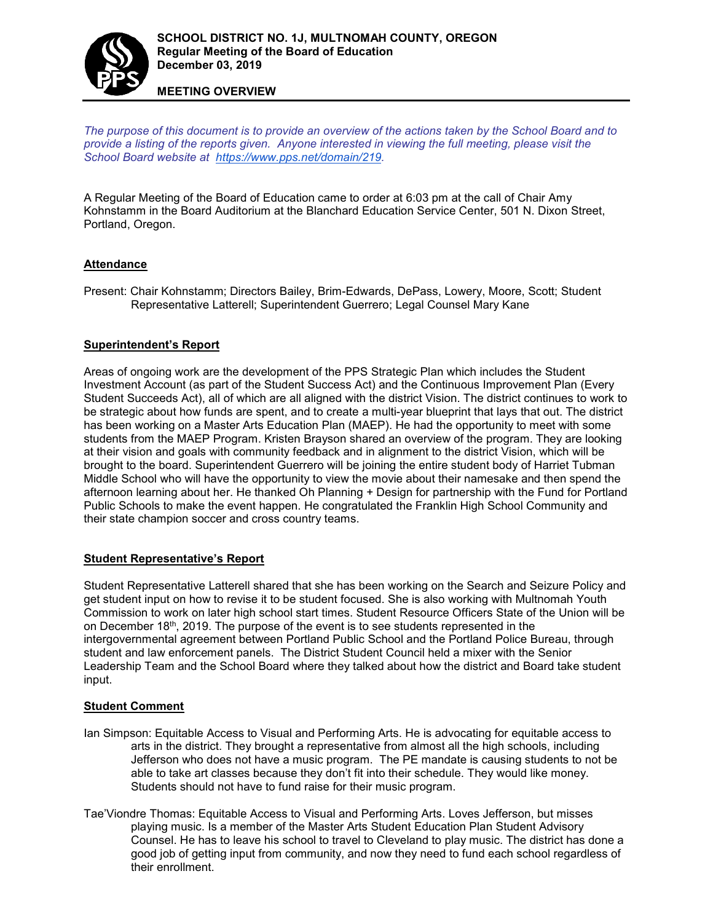

**MEETING OVERVIEW**

*The purpose of this document is to provide an overview of the actions taken by the School Board and to provide a listing of the reports given. Anyone interested in viewing the full meeting, please visit the School Board website at [https://www.pps.net/domain/219.](https://www.pps.net/domain/219)*

A Regular Meeting of the Board of Education came to order at 6:03 pm at the call of Chair Amy Kohnstamm in the Board Auditorium at the Blanchard Education Service Center, 501 N. Dixon Street, Portland, Oregon.

## **Attendance**

Present: Chair Kohnstamm; Directors Bailey, Brim-Edwards, DePass, Lowery, Moore, Scott; Student Representative Latterell; Superintendent Guerrero; Legal Counsel Mary Kane

## **Superintendent's Report**

Areas of ongoing work are the development of the PPS Strategic Plan which includes the Student Investment Account (as part of the Student Success Act) and the Continuous Improvement Plan (Every Student Succeeds Act), all of which are all aligned with the district Vision. The district continues to work to be strategic about how funds are spent, and to create a multi-year blueprint that lays that out. The district has been working on a Master Arts Education Plan (MAEP). He had the opportunity to meet with some students from the MAEP Program. Kristen Brayson shared an overview of the program. They are looking at their vision and goals with community feedback and in alignment to the district Vision, which will be brought to the board. Superintendent Guerrero will be joining the entire student body of Harriet Tubman Middle School who will have the opportunity to view the movie about their namesake and then spend the afternoon learning about her. He thanked Oh Planning + Design for partnership with the Fund for Portland Public Schools to make the event happen. He congratulated the Franklin High School Community and their state champion soccer and cross country teams.

## **Student Representative's Report**

Student Representative Latterell shared that she has been working on the Search and Seizure Policy and get student input on how to revise it to be student focused. She is also working with Multnomah Youth Commission to work on later high school start times. Student Resource Officers State of the Union will be on December  $18<sup>th</sup>$ , 2019. The purpose of the event is to see students represented in the intergovernmental agreement between Portland Public School and the Portland Police Bureau, through student and law enforcement panels. The District Student Council held a mixer with the Senior Leadership Team and the School Board where they talked about how the district and Board take student input.

#### **Student Comment**

- Ian Simpson: Equitable Access to Visual and Performing Arts. He is advocating for equitable access to arts in the district. They brought a representative from almost all the high schools, including Jefferson who does not have a music program. The PE mandate is causing students to not be able to take art classes because they don't fit into their schedule. They would like money. Students should not have to fund raise for their music program.
- Tae'Viondre Thomas: Equitable Access to Visual and Performing Arts. Loves Jefferson, but misses playing music. Is a member of the Master Arts Student Education Plan Student Advisory Counsel. He has to leave his school to travel to Cleveland to play music. The district has done a good job of getting input from community, and now they need to fund each school regardless of their enrollment.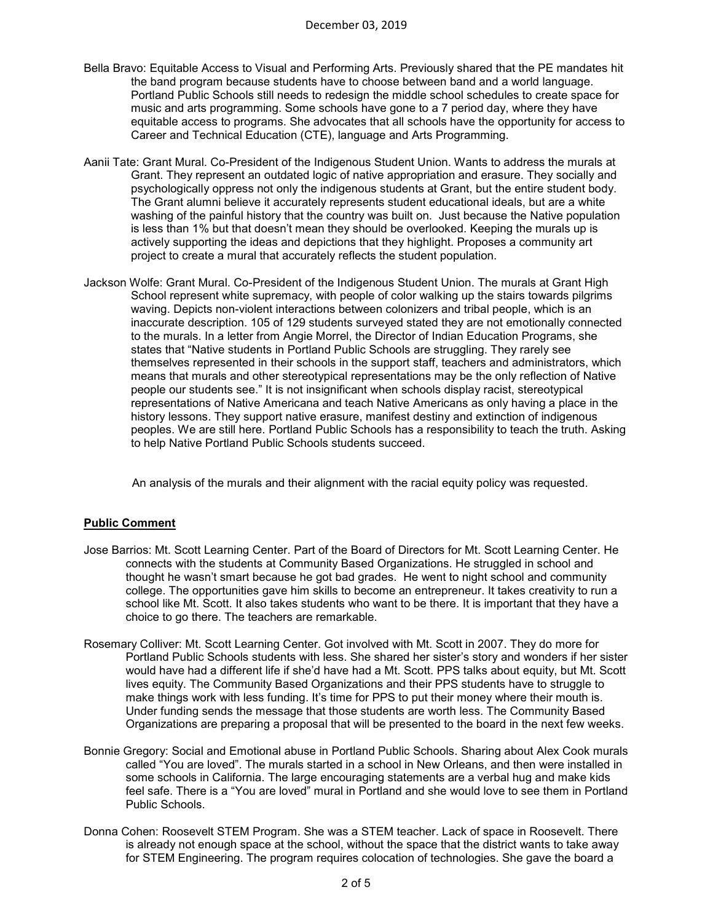- Bella Bravo: Equitable Access to Visual and Performing Arts. Previously shared that the PE mandates hit the band program because students have to choose between band and a world language. Portland Public Schools still needs to redesign the middle school schedules to create space for music and arts programming. Some schools have gone to a 7 period day, where they have equitable access to programs. She advocates that all schools have the opportunity for access to Career and Technical Education (CTE), language and Arts Programming.
- Aanii Tate: Grant Mural. Co-President of the Indigenous Student Union. Wants to address the murals at Grant. They represent an outdated logic of native appropriation and erasure. They socially and psychologically oppress not only the indigenous students at Grant, but the entire student body. The Grant alumni believe it accurately represents student educational ideals, but are a white washing of the painful history that the country was built on. Just because the Native population is less than 1% but that doesn't mean they should be overlooked. Keeping the murals up is actively supporting the ideas and depictions that they highlight. Proposes a community art project to create a mural that accurately reflects the student population.
- Jackson Wolfe: Grant Mural. Co-President of the Indigenous Student Union. The murals at Grant High School represent white supremacy, with people of color walking up the stairs towards pilgrims waving. Depicts non-violent interactions between colonizers and tribal people, which is an inaccurate description. 105 of 129 students surveyed stated they are not emotionally connected to the murals. In a letter from Angie Morrel, the Director of Indian Education Programs, she states that "Native students in Portland Public Schools are struggling. They rarely see themselves represented in their schools in the support staff, teachers and administrators, which means that murals and other stereotypical representations may be the only reflection of Native people our students see." It is not insignificant when schools display racist, stereotypical representations of Native Americana and teach Native Americans as only having a place in the history lessons. They support native erasure, manifest destiny and extinction of indigenous peoples. We are still here. Portland Public Schools has a responsibility to teach the truth. Asking to help Native Portland Public Schools students succeed.

An analysis of the murals and their alignment with the racial equity policy was requested.

## **Public Comment**

- Jose Barrios: Mt. Scott Learning Center. Part of the Board of Directors for Mt. Scott Learning Center. He connects with the students at Community Based Organizations. He struggled in school and thought he wasn't smart because he got bad grades. He went to night school and community college. The opportunities gave him skills to become an entrepreneur. It takes creativity to run a school like Mt. Scott. It also takes students who want to be there. It is important that they have a choice to go there. The teachers are remarkable.
- Rosemary Colliver: Mt. Scott Learning Center. Got involved with Mt. Scott in 2007. They do more for Portland Public Schools students with less. She shared her sister's story and wonders if her sister would have had a different life if she'd have had a Mt. Scott. PPS talks about equity, but Mt. Scott lives equity. The Community Based Organizations and their PPS students have to struggle to make things work with less funding. It's time for PPS to put their money where their mouth is. Under funding sends the message that those students are worth less. The Community Based Organizations are preparing a proposal that will be presented to the board in the next few weeks.
- Bonnie Gregory: Social and Emotional abuse in Portland Public Schools. Sharing about Alex Cook murals called "You are loved". The murals started in a school in New Orleans, and then were installed in some schools in California. The large encouraging statements are a verbal hug and make kids feel safe. There is a "You are loved" mural in Portland and she would love to see them in Portland Public Schools.
- Donna Cohen: Roosevelt STEM Program. She was a STEM teacher. Lack of space in Roosevelt. There is already not enough space at the school, without the space that the district wants to take away for STEM Engineering. The program requires colocation of technologies. She gave the board a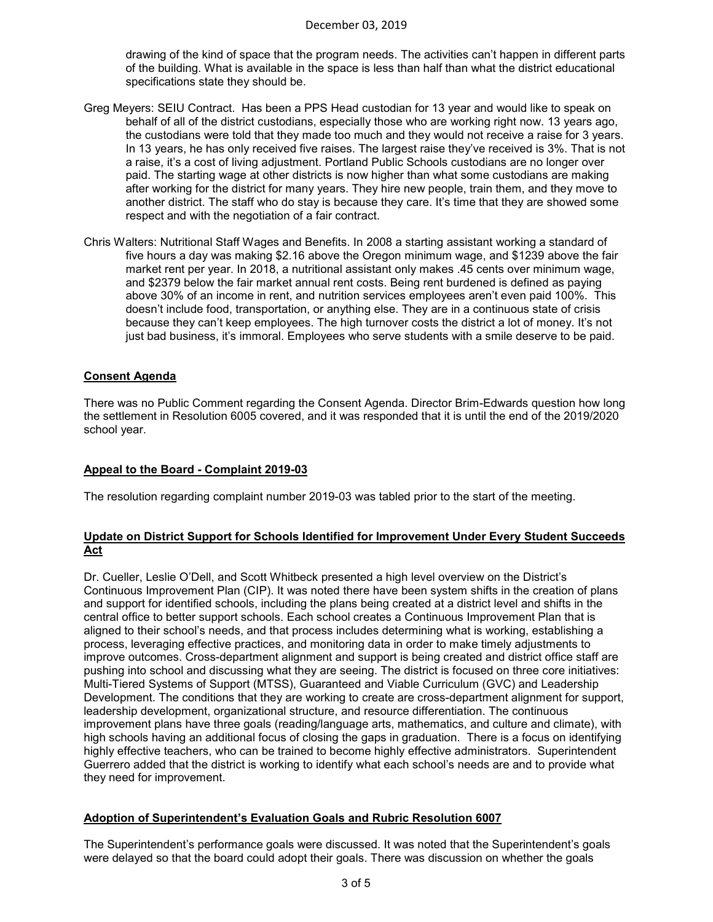drawing of the kind of space that the program needs. The activities can't happen in different parts of the building. What is available in the space is less than half than what the district educational specifications state they should be.

- Greg Meyers: SEIU Contract. Has been a PPS Head custodian for 13 year and would like to speak on behalf of all of the district custodians, especially those who are working right now. 13 years ago, the custodians were told that they made too much and they would not receive a raise for 3 years. In 13 years, he has only received five raises. The largest raise they've received is 3%. That is not a raise, it's a cost of living adjustment. Portland Public Schools custodians are no longer over paid. The starting wage at other districts is now higher than what some custodians are making after working for the district for many years. They hire new people, train them, and they move to another district. The staff who do stay is because they care. It's time that they are showed some respect and with the negotiation of a fair contract.
- Chris Walters: Nutritional Staff Wages and Benefits. In 2008 a starting assistant working a standard of five hours a day was making \$2.16 above the Oregon minimum wage, and \$1239 above the fair market rent per year. In 2018, a nutritional assistant only makes .45 cents over minimum wage, and \$2379 below the fair market annual rent costs. Being rent burdened is defined as paying above 30% of an income in rent, and nutrition services employees aren't even paid 100%. This doesn't include food, transportation, or anything else. They are in a continuous state of crisis because they can't keep employees. The high turnover costs the district a lot of money. It's not just bad business, it's immoral. Employees who serve students with a smile deserve to be paid.

#### **Consent Agenda**

There was no Public Comment regarding the Consent Agenda. Director Brim-Edwards question how long the settlement in Resolution 6005 covered, and it was responded that it is until the end of the 2019/2020 school year.

#### **Appeal to the Board - Complaint 2019-03**

The resolution regarding complaint number 2019-03 was tabled prior to the start of the meeting.

### **Update on District Support for Schools Identified for Improvement Under Every Student Succeeds Act**

Dr. Cueller, Leslie O'Dell, and Scott Whitbeck presented a high level overview on the District's Continuous Improvement Plan (CIP). It was noted there have been system shifts in the creation of plans and support for identified schools, including the plans being created at a district level and shifts in the central office to better support schools. Each school creates a Continuous Improvement Plan that is aligned to their school's needs, and that process includes determining what is working, establishing a process, leveraging effective practices, and monitoring data in order to make timely adjustments to improve outcomes. Cross-department alignment and support is being created and district office staff are pushing into school and discussing what they are seeing. The district is focused on three core initiatives: Multi-Tiered Systems of Support (MTSS), Guaranteed and Viable Curriculum (GVC) and Leadership Development. The conditions that they are working to create are cross-department alignment for support, leadership development, organizational structure, and resource differentiation. The continuous improvement plans have three goals (reading/language arts, mathematics, and culture and climate), with high schools having an additional focus of closing the gaps in graduation. There is a focus on identifying highly effective teachers, who can be trained to become highly effective administrators. Superintendent Guerrero added that the district is working to identify what each school's needs are and to provide what they need for improvement.

#### **Adoption of Superintendent's Evaluation Goals and Rubric Resolution 6007**

The Superintendent's performance goals were discussed. It was noted that the Superintendent's goals were delayed so that the board could adopt their goals. There was discussion on whether the goals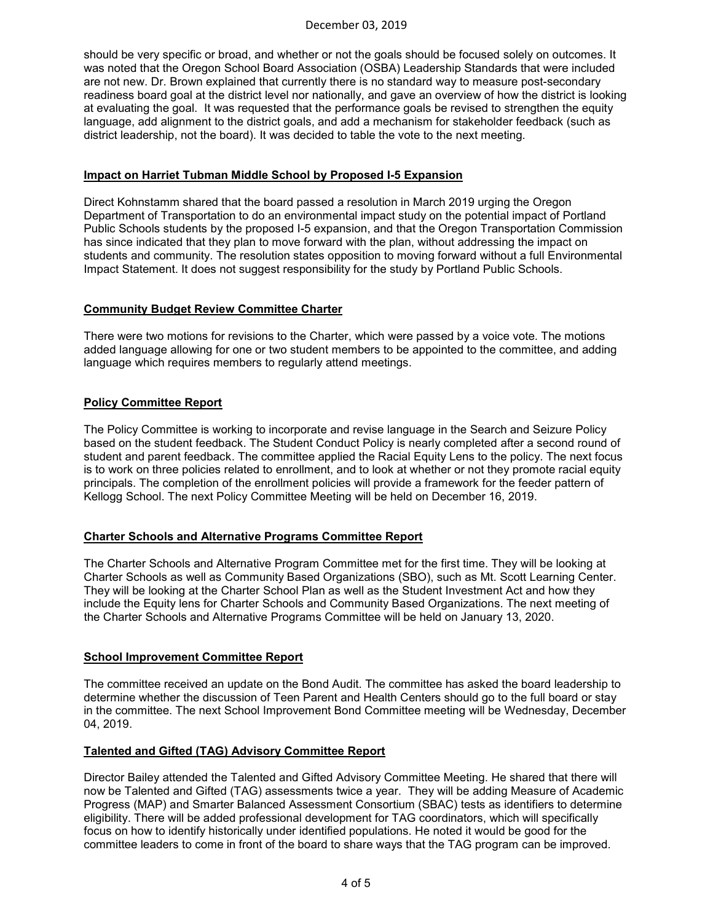should be very specific or broad, and whether or not the goals should be focused solely on outcomes. It was noted that the Oregon School Board Association (OSBA) Leadership Standards that were included are not new. Dr. Brown explained that currently there is no standard way to measure post-secondary readiness board goal at the district level nor nationally, and gave an overview of how the district is looking at evaluating the goal. It was requested that the performance goals be revised to strengthen the equity language, add alignment to the district goals, and add a mechanism for stakeholder feedback (such as district leadership, not the board). It was decided to table the vote to the next meeting.

### **Impact on Harriet Tubman Middle School by Proposed I-5 Expansion**

Direct Kohnstamm shared that the board passed a resolution in March 2019 urging the Oregon Department of Transportation to do an environmental impact study on the potential impact of Portland Public Schools students by the proposed I-5 expansion, and that the Oregon Transportation Commission has since indicated that they plan to move forward with the plan, without addressing the impact on students and community. The resolution states opposition to moving forward without a full Environmental Impact Statement. It does not suggest responsibility for the study by Portland Public Schools.

### **Community Budget Review Committee Charter**

There were two motions for revisions to the Charter, which were passed by a voice vote. The motions added language allowing for one or two student members to be appointed to the committee, and adding language which requires members to regularly attend meetings.

## **Policy Committee Report**

The Policy Committee is working to incorporate and revise language in the Search and Seizure Policy based on the student feedback. The Student Conduct Policy is nearly completed after a second round of student and parent feedback. The committee applied the Racial Equity Lens to the policy. The next focus is to work on three policies related to enrollment, and to look at whether or not they promote racial equity principals. The completion of the enrollment policies will provide a framework for the feeder pattern of Kellogg School. The next Policy Committee Meeting will be held on December 16, 2019.

#### **Charter Schools and Alternative Programs Committee Report**

The Charter Schools and Alternative Program Committee met for the first time. They will be looking at Charter Schools as well as Community Based Organizations (SBO), such as Mt. Scott Learning Center. They will be looking at the Charter School Plan as well as the Student Investment Act and how they include the Equity lens for Charter Schools and Community Based Organizations. The next meeting of the Charter Schools and Alternative Programs Committee will be held on January 13, 2020.

## **School Improvement Committee Report**

The committee received an update on the Bond Audit. The committee has asked the board leadership to determine whether the discussion of Teen Parent and Health Centers should go to the full board or stay in the committee. The next School Improvement Bond Committee meeting will be Wednesday, December 04, 2019.

#### **Talented and Gifted (TAG) Advisory Committee Report**

Director Bailey attended the Talented and Gifted Advisory Committee Meeting. He shared that there will now be Talented and Gifted (TAG) assessments twice a year. They will be adding Measure of Academic Progress (MAP) and Smarter Balanced Assessment Consortium (SBAC) tests as identifiers to determine eligibility. There will be added professional development for TAG coordinators, which will specifically focus on how to identify historically under identified populations. He noted it would be good for the committee leaders to come in front of the board to share ways that the TAG program can be improved.